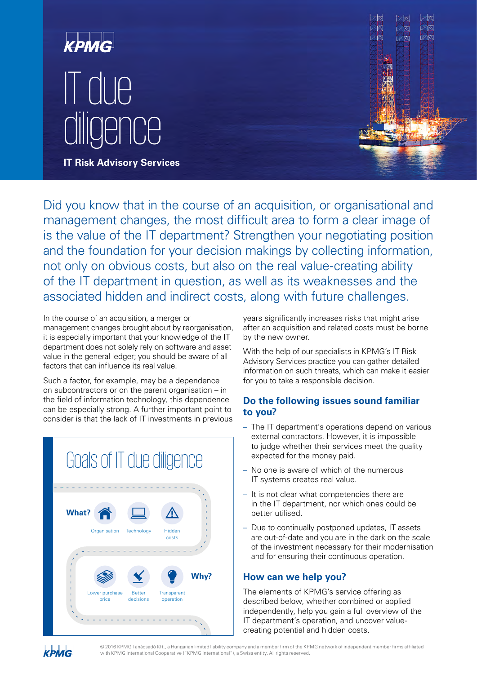



Did you know that in the course of an acquisition, or organisational and management changes, the most difficult area to form a clear image of is the value of the IT department? Strengthen your negotiating position and the foundation for your decision makings by collecting information, not only on obvious costs, but also on the real value-creating ability of the IT department in question, as well as its weaknesses and the associated hidden and indirect costs, along with future challenges.

In the course of an acquisition, a merger or management changes brought about by reorganisation, it is especially important that your knowledge of the IT department does not solely rely on software and asset value in the general ledger; you should be aware of all factors that can influence its real value.

Such a factor, for example, may be a dependence on subcontractors or on the parent organisation – in the field of information technology, this dependence can be especially strong. A further important point to consider is that the lack of IT investments in previous

|                                                                  | Goals of IT due diligence |                            |                          |      |
|------------------------------------------------------------------|---------------------------|----------------------------|--------------------------|------|
| <b>What?</b>                                                     | Organisation              | Technology                 | Hidden<br>costs          | ٦    |
| $\overline{\phantom{a}}$<br>ï<br>п<br>п<br>т<br>т<br>т<br>T<br>١ | Lower purchase<br>price   | <b>Better</b><br>decisions | Transparent<br>operation | Why? |
|                                                                  |                           |                            |                          | Ñ    |

years significantly increases risks that might arise after an acquisition and related costs must be borne by the new owner.

With the help of our specialists in KPMG's IT Risk Advisory Services practice you can gather detailed information on such threats, which can make it easier for you to take a responsible decision.

## **Do the following issues sound familiar to you?**

- The IT department's operations depend on various external contractors. However, it is impossible to judge whether their services meet the quality expected for the money paid.
- No one is aware of which of the numerous IT systems creates real value.
- It is not clear what competencies there are in the IT department, nor which ones could be better utilised.
- Due to continually postponed updates, IT assets are out-of-date and you are in the dark on the scale of the investment necessary for their modernisation and for ensuring their continuous operation.

## **How can we help you?**

The elements of KPMG's service offering as described below, whether combined or applied independently, help you gain a full overview of the IT department's operation, and uncover valuecreating potential and hidden costs.